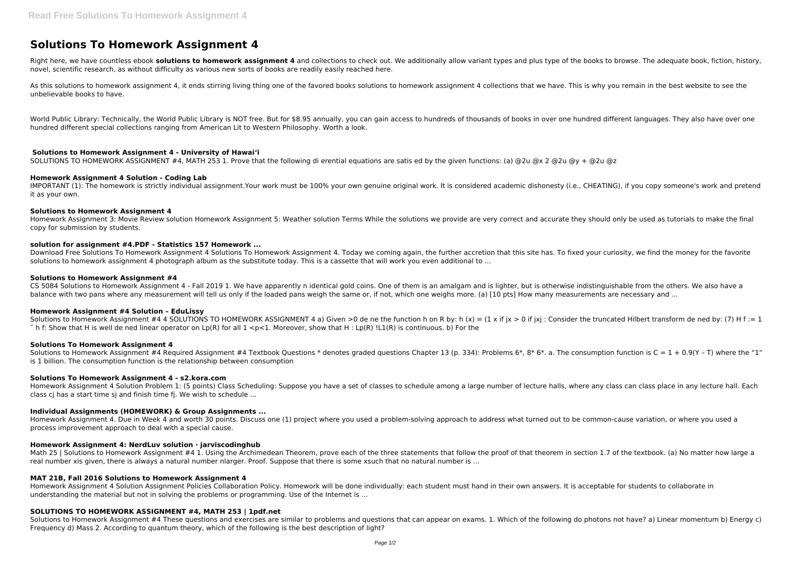# **Solutions To Homework Assignment 4**

Right here, we have countless ebook **solutions to homework assignment 4** and collections to check out. We additionally allow variant types and plus type of the books to browse. The adequate book, fiction, history, novel, scientific research, as without difficulty as various new sorts of books are readily easily reached here.

As this solutions to homework assignment 4, it ends stirring living thing one of the favored books solutions to homework assignment 4 collections that we have. This is why you remain in the best website to see the unbelievable books to have.

World Public Library: Technically, the World Public Library is NOT free. But for \$8.95 annually, you can gain access to hundreds of thousands of books in over one hundred different languages. They also have over one hundred different special collections ranging from American Lit to Western Philosophy. Worth a look.

## **Solutions to Homework Assignment 4 - University of Hawaiʻi**

CS 5084 Solutions to Homework Assignment 4 - Fall 2019 1. We have apparently n identical gold coins. One of them is an amalgam and is lighter, but is otherwise indistinguishable from the others. We also have a balance with two pans where any measurement will tell us only if the loaded pans weigh the same or, if not, which one weighs more, (a) [10 pts] How many measurements are necessary and ...

SOLUTIONS TO HOMEWORK ASSIGNMENT #4, MATH 253 1. Prove that the following di erential equations are satis ed by the given functions: (a) @2u @x 2 @2u @y + @2u @z

## **Homework Assignment 4 Solution - Coding Lab**

IMPORTANT (1): The homework is strictly individual assignment.Your work must be 100% your own genuine original work. It is considered academic dishonesty (i.e., CHEATING), if you copy someone's work and pretend it as your own.

## **Solutions to Homework Assignment 4**

Homework Assignment 3: Movie Review solution Homework Assignment 5: Weather solution Terms While the solutions we provide are very correct and accurate they should only be used as tutorials to make the final copy for submission by students.

Solutions to Homework Assignment #4 Required Assignment #4 Textbook Questions \* denotes graded questions Chapter 13 (p. 334): Problems 6\*, 8\* 6\*. a. The consumption function is C = 1 + 0.9(Y - T) where the "1" is 1 billion. The consumption function is the relationship between consumption

## **solution for assignment #4.PDF - Statistics 157 Homework ...**

Download Free Solutions To Homework Assignment 4 Solutions To Homework Assignment 4. Today we coming again, the further accretion that this site has. To fixed your curiosity, we find the money for the favorite solutions to homework assignment 4 photograph album as the substitute today. This is a cassette that will work you even additional to ...

## **Solutions to Homework Assignment #4**

Math 25 | Solutions to Homework Assignment #4 1. Using the Archimedean Theorem, prove each of the three statements that follow the proof of that theorem in section 1.7 of the textbook. (a) No matter how large a real number xis given, there is always a natural number nlarger. Proof. Suppose that there is some xsuch that no natural number is ...

Solutions to Homework Assignment #4 These questions and exercises are similar to problems and questions that can appear on exams. 1. Which of the following do photons not have? a) Linear momentum b) Energy c) Frequency d) Mass 2. According to quantum theory, which of the following is the best description of light?

## **Homework Assignment #4 Solution – EduLissy**

Solutions to Homework Assignment #4 4 SOLUTIONS TO HOMEWORK ASSIGNMENT 4 a) Given >0 de ne the function h on R by: h (x) = (1 x if ix > 0 if ixi : Consider the truncated Hilbert transform de ned by: (7) H f := 1  $\check{\ }$  h f: Show that H is well de ned linear operator on Lp(R) for all  $1 \leq p \leq 1$ . Moreover, show that H : Lp(R)  $|L1(R)|$  is continuous. b) For the

## **Solutions To Homework Assignment 4**

## **Solutions To Homework Assignment 4 - s2.kora.com**

Homework Assignment 4 Solution Problem 1: (5 points) Class Scheduling: Suppose you have a set of classes to schedule among a large number of lecture halls, where any class can class place in any lecture hall. Each class cj has a start time sj and finish time fj. We wish to schedule ...

## **Individual Assignments (HOMEWORK) & Group Assignments ...**

Homework Assignment 4. Due in Week 4 and worth 30 points. Discuss one (1) project where you used a problem-solving approach to address what turned out to be common-cause variation, or where you used a process improvement approach to deal with a special cause.

## **Homework Assignment 4: NerdLuv solution · jarviscodinghub**

## **MAT 21B, Fall 2016 Solutions to Homework Assignment 4**

Homework Assignment 4 Solution Assignment Policies Collaboration Policy. Homework will be done individually: each student must hand in their own answers. It is acceptable for students to collaborate in understanding the material but not in solving the problems or programming. Use of the Internet is ...

## **SOLUTIONS TO HOMEWORK ASSIGNMENT #4, MATH 253 | 1pdf.net**